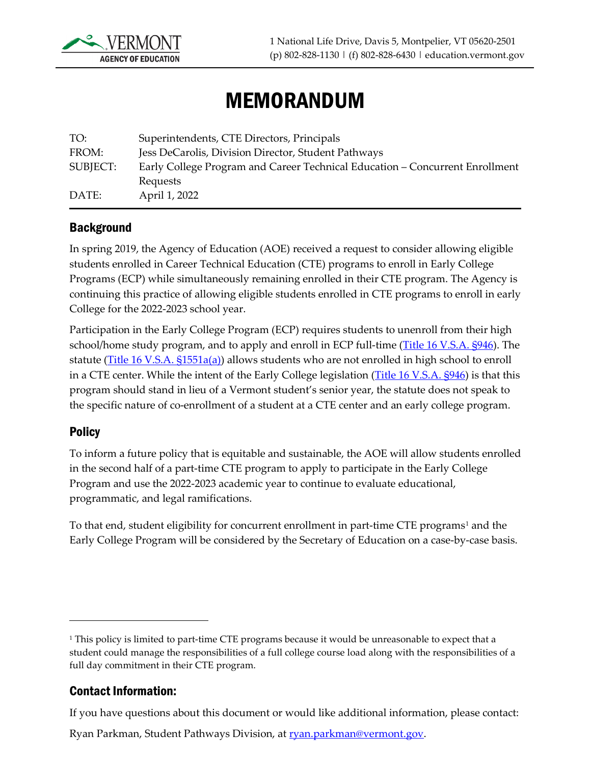

# MEMORANDUM

| TO:      | Superintendents, CTE Directors, Principals                                   |
|----------|------------------------------------------------------------------------------|
| FROM:    | Jess DeCarolis, Division Director, Student Pathways                          |
| SUBJECT: | Early College Program and Career Technical Education – Concurrent Enrollment |
|          | Requests                                                                     |
| DATE:    | April 1, 2022                                                                |

#### **Background**

In spring 2019, the Agency of Education (AOE) received a request to consider allowing eligible students enrolled in Career Technical Education (CTE) programs to enroll in Early College Programs (ECP) while simultaneously remaining enrolled in their CTE program. The Agency is continuing this practice of allowing eligible students enrolled in CTE programs to enroll in early College for the 2022-2023 school year.

Participation in the Early College Program (ECP) requires students to unenroll from their high school/home study program, and to apply and enroll in ECP full-time [\(Title 16 V.S.A. §946\)](https://legislature.vermont.gov/statutes/section/16/023/00946). The statute [\(Title 16 V.S.A. §1551a\(a\)\)](https://legislature.vermont.gov/statutes/section/16/037/01551a) allows students who are not enrolled in high school to enroll in a CTE center. While the intent of the Early College legislation [\(Title 16 V.S.A. §946\)](https://legislature.vermont.gov/statutes/section/16/023/00946) is that this program should stand in lieu of a Vermont student's senior year, the statute does not speak to the specific nature of co-enrollment of a student at a CTE center and an early college program.

#### **Policy**

To inform a future policy that is equitable and sustainable, the AOE will allow students enrolled in the second half of a part-time CTE program to apply to participate in the Early College Program and use the 2022-2023 academic year to continue to evaluate educational, programmatic, and legal ramifications.

To that end, student eligibility for concurrent enrollment in part-time CTE programs<sup>1</sup> and the Early College Program will be considered by the Secretary of Education on a case-by-case basis.

#### Contact Information:

If you have questions about this document or would like additional information, please contact:

<span id="page-0-0"></span><sup>&</sup>lt;sup>1</sup> This policy is limited to part-time CTE programs because it would be unreasonable to expect that a student could manage the responsibilities of a full college course load along with the responsibilities of a full day commitment in their CTE program.

Ryan Parkman, Student Pathways Division, at **ryan.parkman@vermont.gov.**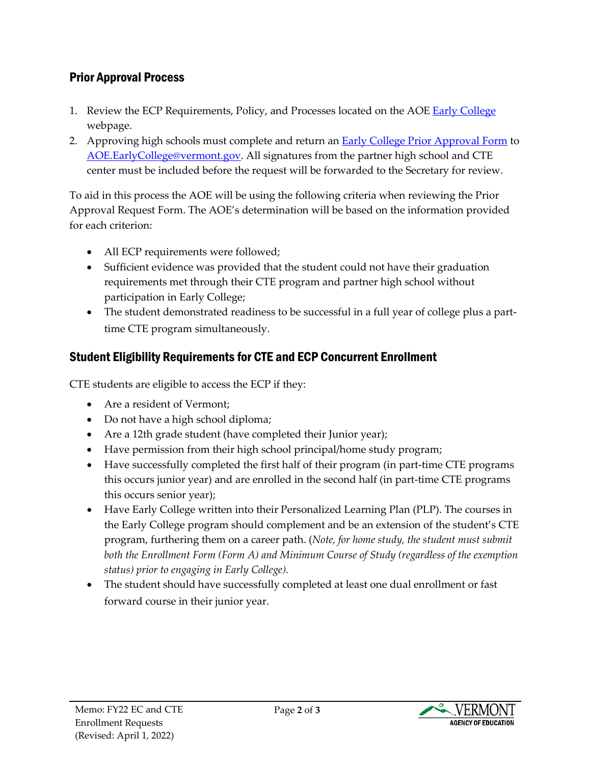### Prior Approval Process

- 1. Review the ECP Requirements, Policy, and Processes located on the AOE [Early College](https://education.vermont.gov/student-learning/flexible-pathways/early-college) webpage.
- 2. Approving high schools must complete and return an [Early College Prior Approval Form](https://education.vermont.gov/documents/aoe-early-college-and-cte-co-enrollment-prior-approval-request-form) to [AOE.EarlyCollege@vermont.gov.](mailto:AOE.EarlyCollege@vermont.gov) All signatures from the partner high school and CTE center must be included before the request will be forwarded to the Secretary for review.

To aid in this process the AOE will be using the following criteria when reviewing the Prior Approval Request Form. The AOE's determination will be based on the information provided for each criterion:

- All ECP requirements were followed;
- Sufficient evidence was provided that the student could not have their graduation requirements met through their CTE program and partner high school without participation in Early College;
- The student demonstrated readiness to be successful in a full year of college plus a parttime CTE program simultaneously.

## Student Eligibility Requirements for CTE and ECP Concurrent Enrollment

CTE students are eligible to access the ECP if they:

- Are a resident of Vermont:
- Do not have a high school diploma;
- Are a 12th grade student (have completed their Junior year);
- Have permission from their high school principal/home study program;
- Have successfully completed the first half of their program (in part-time CTE programs this occurs junior year) and are enrolled in the second half (in part-time CTE programs this occurs senior year);
- Have Early College written into their Personalized Learning Plan (PLP). The courses in the Early College program should complement and be an extension of the student's CTE program, furthering them on a career path. (*Note, for home study, the student must submit both the Enrollment Form (Form A) and Minimum Course of Study (regardless of the exemption status) prior to engaging in Early College).*
- The student should have successfully completed at least one dual enrollment or fast forward course in their junior year.